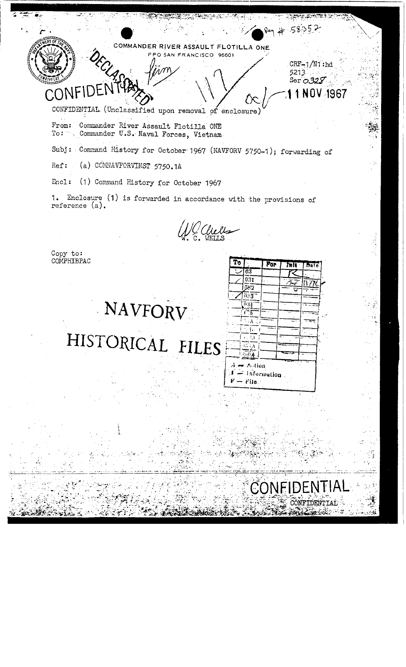

CONFIDENTIAL (Unclassified upon removal of enclosure)

From: Commander River Assault Flotilla ONE<br>To: Commander U.S. Naval Forces, Vietnam

Subj: Command History for October 1967 (NAVFORV 5750-1); forwarding of

(a) COMNAVFORVINST 5750.1A Ref:

Encl: (1) Command History for October 1967

1. Enclosure (1) is forwarded in accordance with the provisions of reference (a).

G Chells

Copy to:<br>COMPHIBPAC

# NAVFORV

HISTORICAL FILES

 $\overline{\mathbf{r}}$ **For** ħП  $\overline{63}$  $\overline{031}$ n.  $\overline{\tilde{\mathcal{D}}}$ 17  $\overline{0.3}$ ō sp Ŧ  $\overline{A}$ Ţ,  $\mathbb{S}^3$  $\lambda_{\rm p}$  $568$  $\neg$  Astion  $-$  information  $\mathbf{f}$ File

CON

 $R - 58052$ 

5213 Ser  $\sigma$ 32 $\mathcal{F}$ 

UК

11 NOV 1967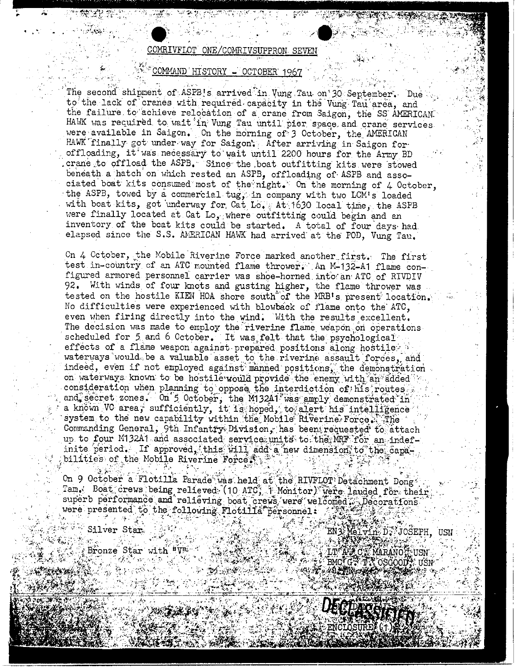### COMRIVFLOT ONE/COMRIVSUPPRON SEVEN

#### COMMAND HISTORY - OCTOBER 1967

The second shipment of ASPB's arrived in Vung Tau on 30 September. Due to the lack of cranes with required capacity in the Vung Tau area, and the failure to achieve relocation of a crane from Saigon, the SS AMERICAN HAWK was required to wait in Vung Tau until pier space and crane services. were available in Saigon. On the morning of 3 October, the AMERICAN HAWK finally got under way for Saigon. After arriving in Saigon for offloading, it was necessary to wait until 2200 hours for the Army BD crane to offload the ASPB. Since the boat outfitting kits were stowed beneath a hatch on which rested an ASPB, offloading of ASPB and associated boat kits consumed most of the night. On the morning of 4 October, the ASPB, towed by a commercial tug, in company with two LCM's loaded with boat kits, got underway for Cat Lo. At 1630 local time, the ASPB were finally located at Cat Lo, where outfitting could begin and an inventory of the beat kits could be started. A total of four days had. elapsed since the S.S. AMERICAN HAWK had arrived at the POD, Vung Tau.

On 4 October, the Mobile Riverine Force marked another first. The first test in-country of an ATC mounted flame thrower. An M-132-A1 flame configured armored personnel carrier was shoe-horned into an ATC of RIVDIV 92. With winds of four knots and gusting higher, the flame thrower was tested on the hostile KIEN HOA shore south of the MRB's present location. No difficulties were experienced with blowback of flame onto the ATC. even when firing directly into the wind. With the results excellent. The decision was made to employ the riverine flame weapon on operations scheduled for 5 and 6 October. It was felt that the psychological effects of a flame weapon against prepared positions along hostiles a waterways would be a valuable asset to the riverine assault forces, and indeed, even if not employed against manned positions, the demonstration on waterways known to be hostile would provide the enemy with an added consideration when planning to oppose the interdiction of his routes. and secret zones. On 5 October, the M13241 was amply demonstrated in a known VC area, sufficiently, it is hoped, to alert his intelligence system to the new capability within the Mobile Riverine Force. The Commanding General, 9th Infantry Division, has been requested to attach up to four M132A1 and associated service units to the MRF for an indefinite period. If approved, this will add a new dimension to the capabilities of the Mobile Riverine Force.

On 9 October a Flotilla Parade was held at the RIVFLOT Detachment Dong Tam. Boat crews being relieved. (10 ATC, 1 Monitor) were lauded for their superb performance and relieving boat crews were welcomed . Decorations were presented to the following Flotilla personnel:

Silver Star

Bronze Star with "Vit"

EN S Melvin D, JOSEPH, USN ALTAZCI LT A CY MARANOY USN<br>BMCIGS TA OSGODY USN A 140 A ROSE PRE

DECEPAÇE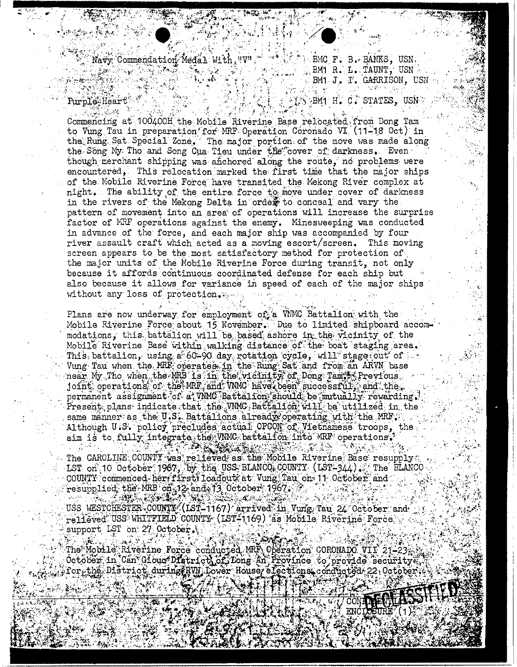$\mathbb{C}$  Navy Commendation Medal With  $\iota$ "V"

 $\mathcal{F}_{\mathcal{A}}$  ,  $\mathcal{F}_{\mathcal{A}}$  ,  $\mathcal{F}_{\mathcal{A}}$  ,  $\mathcal{F}_{\mathcal{A}}$  ,  $\mathcal{F}_{\mathcal{A}}$  ,  $\mathcal{F}_{\mathcal{A}}$ 

BMC F. B. BANKS, USN BM1 R. L. TAUNT, USN BM1 J. T. GARRISON, USN

## Purple, Heart

i Santa B

 $\mathbb{C}\backslash\mathbb{B}$ M1 H. C. STATES, USN

المخمشين أيخو ليتهرب Commencing at 100400H the Mobile Riverine Base relocated from Dong Tam to Vung Tau in preparation for MRF Operation Coronado VI (11-18 Oct) in the Rung Sat Special Zone. The major portion of the move was made along the Song My Tho and Song Cua Tieu under the cover of darkness. Even though merchant shipping was anchored along the route, no problems were encountered, This relocation marked the first time that the major ships of the Mobile Riverine Force have transited the Mekong River complex at night. The ability of the entire force to move under cover of darkness in the rivers of the Mekong Delta in order to conceal and vary the pattern of movement into an area of operations will increase the surprise factor of MRF operations against the enemy. Minesweeping was conducted in advance of the force, and each major ship was accompanied by four river assault craft which acted as a moving escort/screen. This moving screen appears to be the most satisfactory method for protection of the major units of the Mobile Riverine Force during transit, not only because it affords continuous coordinated defense for each ship but also because it allows for variance in speed of each of the major ships without any loss of protection.

Plans are now underway for employment of a WMC Battalion with the Mobile Riverine Force about 15 November. Due to limited shipboard accommodations, this battalion will be based ashore in the vicinity of the Mobile Riverine Base within walking distance of the boat staging area. This, battalion, using a 60-90 day rotation cycle, will stage out of  $\sim$ Vung Tau when the MRF operates in the Rung Sat and from an ARVN base near My Tho when the MRB is in the vicinity of Dong Tam's Previous. joint operations of the MRF and VMMC have been successful, and the permanent assignment of a VNMC Battalion should be mutually rewarding.  $\texttt{Present}$  plans indicate that the VNMC Battalion will be utilized in the same manner as the U.S. Battalions already operating with the MRT. Although U.S. policy precludes actual OPCOM of Vietnamese troops, the aim is to fully integrate the WMC battalion into MRF operations.

 $-2.8292 - 5.$ The CAROLINE COUNTY was relieved as the Mobile Riverine Base resupply LST on 10 October 1967, by the USS BLANCO COUNTY (LST-344). The BLANCO COUNTY commenced-herr firstrioadout at Vung Tau on 11 October and  ${\tt resupp1ied}$ ; the MRB on  $12$  and  $13$  October; 1967. 4.425.000000

88.

CONE

USS WESTCHESTER COUNTY (LST-1167) arrived in Vung Tau 24 October and relieved USS WHITFIELD COUNTY (LST-1169) as Mobile Riverine Force support LST on 27 October.

经一致的 The Mobile Riverine Force conducted MRF, Operation CORONADO VII 21-23. October in Can Glouce District of Long An Province to provide security.